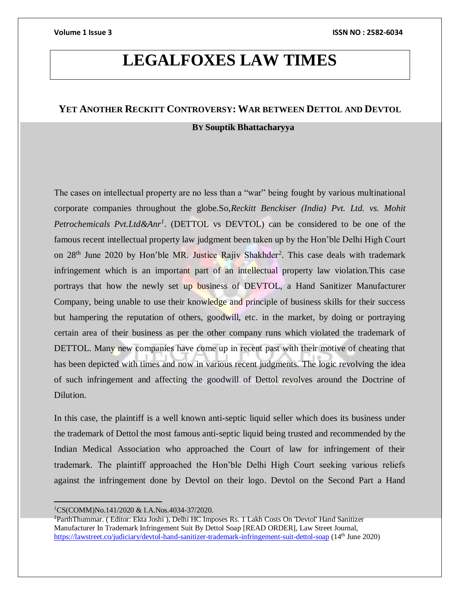## **LEGALFOXES LAW TIMES**

## **YET ANOTHER RECKITT CONTROVERSY: WAR BETWEEN DETTOL AND DEVTOL**

## **BY Souptik Bhattacharyya**

The cases on intellectual property are no less than a "war" being fought by various multinational corporate companies throughout the globe.So,*Reckitt Benckiser (India) Pvt. Ltd. vs. Mohit Petrochemicals Pvt.Ltd&Anr<sup>1</sup>* . (DETTOL vs DEVTOL) can be considered to be one of the famous recent intellectual property law judgment been taken up by the Hon'ble Delhi High Court on 28<sup>th</sup> June 2020 by Hon'ble MR. Justice Rajiv Shakhder<sup>2</sup>. This case deals with trademark infringement which is an important part of an intellectual property law violation.This case portrays that how the newly set up business of DEVTOL, a Hand Sanitizer Manufacturer Company, being unable to use their knowledge and principle of business skills for their success but hampering the reputation of others, goodwill, etc. in the market, by doing or portraying certain area of their business as per the other company runs which violated the trademark of DETTOL. Many new companies have come up in recent past with their motive of cheating that has been depicted with times and now in various recent judgments. The logic revolving the idea of such infringement and affecting the goodwill of Dettol revolves around the Doctrine of Dilution.

In this case, the plaintiff is a well known anti-septic liquid seller which does its business under the trademark of Dettol the most famous anti-septic liquid being trusted and recommended by the Indian Medical Association who approached the Court of law for infringement of their trademark. The plaintiff approached the Hon'ble Delhi High Court seeking various reliefs against the infringement done by Devtol on their logo. Devtol on the Second Part a Hand

<sup>1</sup>CS(COMM)No.141/2020 & I.A.Nos.4034-37/2020.

<sup>2</sup>ParthThummar. ( Editor: Ekta Joshi ), Delhi HC Imposes Rs. 1 Lakh Costs On 'Devtol' Hand Sanitizer Manufacturer In Trademark Infringement Suit By Dettol Soap [READ ORDER], Law Street Journal, <https://lawstreet.co/judiciary/devtol-hand-sanitizer-trademark-infringement-suit-dettol-soap> (14th June 2020)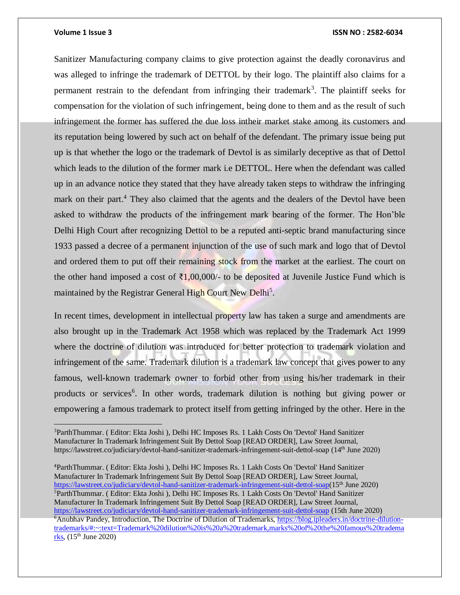## **Volume 1 Issue 3 ISSN NO : 2582-6034**

Sanitizer Manufacturing company claims to give protection against the deadly coronavirus and was alleged to infringe the trademark of DETTOL by their logo. The plaintiff also claims for a permanent restrain to the defendant from infringing their trademark<sup>3</sup>. The plaintiff seeks for compensation for the violation of such infringement, being done to them and as the result of such infringement the former has suffered the due loss intheir market stake among its customers and its reputation being lowered by such act on behalf of the defendant. The primary issue being put up is that whether the logo or the trademark of Devtol is as similarly deceptive as that of Dettol which leads to the dilution of the former mark i.e DETTOL. Here when the defendant was called up in an advance notice they stated that they have already taken steps to withdraw the infringing mark on their part.<sup>4</sup> They also claimed that the agents and the dealers of the Devtol have been asked to withdraw the products of the infringement mark bearing of the former. The Hon'ble Delhi High Court after recognizing Dettol to be a reputed anti-septic brand manufacturing since 1933 passed a decree of a permanent injunction of the use of such mark and logo that of Devtol and ordered them to put off their remaining stock from the market at the earliest. The court on the other hand imposed a cost of  $\bar{\tau}1,00,000/4$  to be deposited at Juvenile Justice Fund which is maintained by the Registrar General High Court New Delhi<sup>5</sup>.

In recent times, development in intellectual property law has taken a surge and amendments are also brought up in the Trademark Act 1958 which was replaced by the Trademark Act 1999 where the doctrine of dilution was introduced for better protection to trademark violation and infringement of the same. Trademark dilution is a trademark law concept that gives power to any famous, well-known trademark owner to forbid other from using his/her trademark in their products or services<sup>6</sup>. In other words, trademark dilution is nothing but giving power or empowering a famous trademark to protect itself from getting infringed by the other. Here in the

<sup>4</sup>ParthThummar. ( Editor: Ekta Joshi ), Delhi HC Imposes Rs. 1 Lakh Costs On 'Devtol' Hand Sanitizer Manufacturer In Trademark Infringement Suit By Dettol Soap [READ ORDER], Law Street Journal, [https://lawstreet.co/judiciary/devtol-hand-sanitizer-trademark-infringement-suit-dettol-soap\(](https://lawstreet.co/judiciary/devtol-hand-sanitizer-trademark-infringement-suit-dettol-soap)15th June 2020) <sup>5</sup>ParthThummar. ( Editor: Ekta Joshi ), Delhi HC Imposes Rs. 1 Lakh Costs On 'Devtol' Hand Sanitizer Manufacturer In Trademark Infringement Suit By Dettol Soap [READ ORDER], Law Street Journal, <https://lawstreet.co/judiciary/devtol-hand-sanitizer-trademark-infringement-suit-dettol-soap> (15th June 2020) 6Anubhav Pandey, Introduction, The Doctrine of Dilution of Trademarks, [https://blog.ipleaders.in/doctrine-dilution](https://blog.ipleaders.in/doctrine-dilution-trademarks/#:~:text=Trademark%20dilution%20is%20a%20trademark,marks%20of%20the%20famous%20trademarks)[trademarks/#:~:text=Trademark%20dilution%20is%20a%20trademark,marks%20of%20the%20famous%20tradema](https://blog.ipleaders.in/doctrine-dilution-trademarks/#:~:text=Trademark%20dilution%20is%20a%20trademark,marks%20of%20the%20famous%20trademarks)  $\underline{\text{rk}}$ s, (15<sup>th</sup> June 2020)

 $\overline{a}$ <sup>3</sup>ParthThummar. ( Editor: Ekta Joshi ), Delhi HC Imposes Rs. 1 Lakh Costs On 'Devtol' Hand Sanitizer Manufacturer In Trademark Infringement Suit By Dettol Soap [READ ORDER], Law Street Journal, https://lawstreet.co/judiciary/devtol-hand-sanitizer-trademark-infringement-suit-dettol-soap (14th June 2020)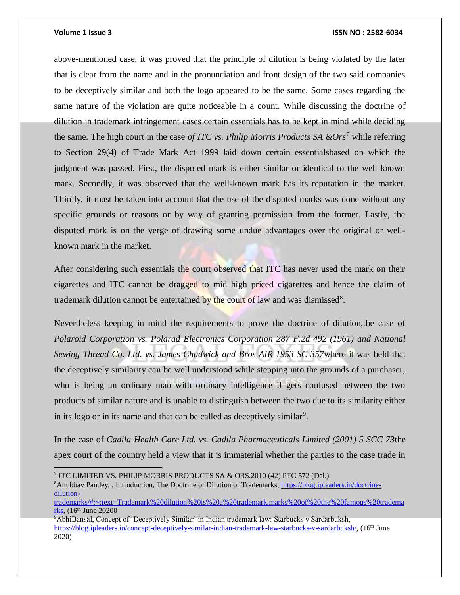## **Volume 1 Issue 3 ISSN NO : 2582-6034**

above-mentioned case, it was proved that the principle of dilution is being violated by the later that is clear from the name and in the pronunciation and front design of the two said companies to be deceptively similar and both the logo appeared to be the same. Some cases regarding the same nature of the violation are quite noticeable in a count. While discussing the doctrine of dilution in trademark infringement cases certain essentials has to be kept in mind while deciding the same. The high court in the case *of ITC vs. Philip Morris Products SA &Ors<sup>7</sup>* while referring to Section 29(4) of Trade Mark Act 1999 laid down certain essentialsbased on which the judgment was passed. First, the disputed mark is either similar or identical to the well known mark. Secondly, it was observed that the well-known mark has its reputation in the market. Thirdly, it must be taken into account that the use of the disputed marks was done without any specific grounds or reasons or by way of granting permission from the former. Lastly, the disputed mark is on the verge of drawing some undue advantages over the original or wellknown mark in the market.

After considering such essentials the court observed that ITC has never used the mark on their cigarettes and ITC cannot be dragged to mid high priced cigarettes and hence the claim of trademark dilution cannot be entertained by the court of law and was dismissed<sup>8</sup>.

Nevertheless keeping in mind the requirements to prove the doctrine of dilution,the case of *Polaroid Corporation vs. Polarad Electronics Corporation 287 F.2d 492 (1961) and National Sewing Thread Co. Ltd. vs. James Chadwick and Bros AIR 1953 SC 357*where it was held that the deceptively similarity can be well understood while stepping into the grounds of a purchaser, who is being an ordinary man with ordinary intelligence if gets confused between the two products of similar nature and is unable to distinguish between the two due to its similarity either in its logo or in its name and that can be called as deceptively similar<sup>9</sup>.

In the case of *Cadila Health Care Ltd. vs. Cadila Pharmaceuticals Limited (2001) 5 SCC 73*the apex court of the country held a view that it is immaterial whether the parties to the case trade in

<sup>8</sup>Anubhav Pandey, , Introduction, The Doctrine of Dilution of Trademarks, [https://blog.ipleaders.in/doctrine](https://blog.ipleaders.in/doctrine-dilution-trademarks/#:~:text=Trademark%20dilution%20is%20a%20trademark,marks%20of%20the%20famous%20trademarks)[dilution-](https://blog.ipleaders.in/doctrine-dilution-trademarks/#:~:text=Trademark%20dilution%20is%20a%20trademark,marks%20of%20the%20famous%20trademarks)

<sup>7</sup> ITC LIMITED VS. PHILIP MORRIS PRODUCTS SA & ORS.2010 (42) PTC 572 (Del.)

[trademarks/#:~:text=Trademark%20dilution%20is%20a%20trademark,marks%20of%20the%20famous%20tradema](https://blog.ipleaders.in/doctrine-dilution-trademarks/#:~:text=Trademark%20dilution%20is%20a%20trademark,marks%20of%20the%20famous%20trademarks)  $r$ ks, (16<sup>th</sup> June 20200

<sup>9</sup>AbhiBansal, Concept of 'Deceptively Similar' in Indian trademark law: Starbucks v Sardarbuksh, [https://blog.ipleaders.in/concept-deceptively-similar-indian-trademark-law-starbucks-v-sardarbuksh/,](https://blog.ipleaders.in/concept-deceptively-similar-indian-trademark-law-starbucks-v-sardarbuksh/) (16<sup>th</sup> June 2020)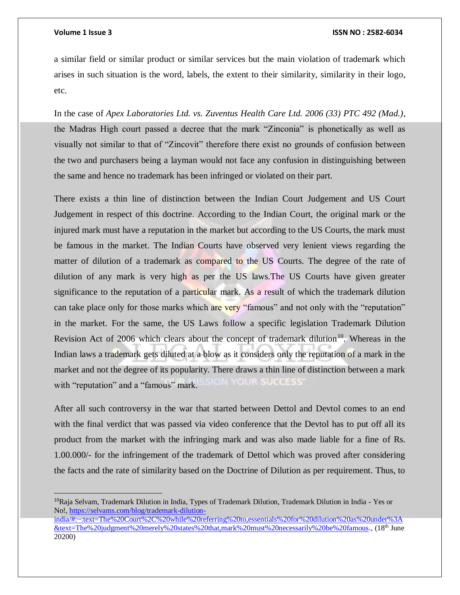$\overline{a}$ 

a similar field or similar product or similar services but the main violation of trademark which arises in such situation is the word, labels, the extent to their similarity, similarity in their logo, etc.

In the case of *Apex Laboratories Ltd. vs. Zuventus Health Care Ltd. 2006 (33) PTC 492 (Mad.),*  the Madras High court passed a decree that the mark "Zinconia" is phonetically as well as visually not similar to that of "Zincovit" therefore there exist no grounds of confusion between the two and purchasers being a layman would not face any confusion in distinguishing between the same and hence no trademark has been infringed or violated on their part.

There exists a thin line of distinction between the Indian Court Judgement and US Court Judgement in respect of this doctrine. According to the Indian Court, the original mark or the injured mark must have a reputation in the market but according to the US Courts, the mark must be famous in the market. The Indian Courts have observed very lenient views regarding the matter of dilution of a trademark as compared to the US Courts. The degree of the rate of dilution of any mark is very high as per the US laws.The US Courts have given greater significance to the reputation of a particular mark. As a result of which the trademark dilution can take place only for those marks which are very "famous" and not only with the "reputation" in the market. For the same, the US Laws follow a specific legislation Trademark Dilution Revision Act of 2006 which clears about the concept of trademark dilution<sup>10</sup>. Whereas in the Indian laws a trademark gets diluted at a blow as it considers only the reputation of a mark in the market and not the degree of its popularity. There draws a thin line of distinction between a mark OUR SUGGESS with "reputation" and a "famous" mark.

After all such controversy in the war that started between Dettol and Devtol comes to an end with the final verdict that was passed via video conference that the Devtol has to put off all its product from the market with the infringing mark and was also made liable for a fine of Rs. 1.00.000/- for the infringement of the trademark of Dettol which was proved after considering the facts and the rate of similarity based on the Doctrine of Dilution as per requirement. Thus, to

<sup>&</sup>lt;sup>10</sup>Raja Selvam, Trademark Dilution in India, Types of Trademark Dilution, Trademark Dilution in India - Yes or No!, [https://selvams.com/blog/trademark-dilution-](https://selvams.com/blog/trademark-dilution-india/#:~:text=The%20Court%2C%20while%20referring%20to,essentials%20for%20dilution%20as%20under%3A&text=The%20judgment%20merely%20states%20that,mark%20must%20necessarily%20be%20famous)

[india/#:~:text=The%20Court%2C%20while%20referring%20to,essentials%20for%20dilution%20as%20under%3A](https://selvams.com/blog/trademark-dilution-india/#:~:text=The%20Court%2C%20while%20referring%20to,essentials%20for%20dilution%20as%20under%3A&text=The%20judgment%20merely%20states%20that,mark%20must%20necessarily%20be%20famous) [&text=The%20judgment%20merely%20states%20that,mark%20must%20necessarily%20be%20famous.](https://selvams.com/blog/trademark-dilution-india/#:~:text=The%20Court%2C%20while%20referring%20to,essentials%20for%20dilution%20as%20under%3A&text=The%20judgment%20merely%20states%20that,mark%20must%20necessarily%20be%20famous), (18th June 20200)